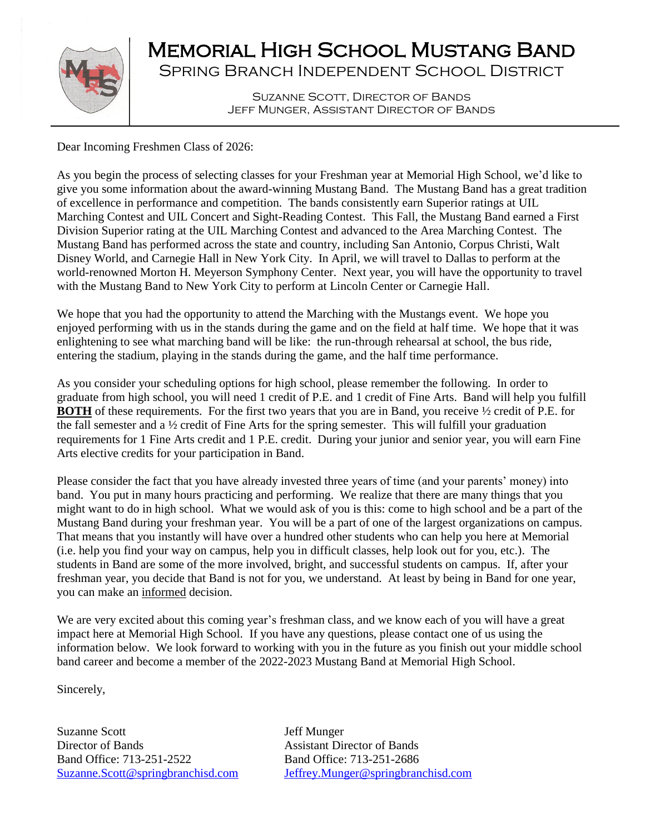

# Memorial High School Mustang Band

Spring Branch Independent School District

Suzanne Scott, Director of Bands Jeff Munger, Assistant Director of Bands

Dear Incoming Freshmen Class of 2026:

As you begin the process of selecting classes for your Freshman year at Memorial High School, we'd like to give you some information about the award-winning Mustang Band. The Mustang Band has a great tradition of excellence in performance and competition. The bands consistently earn Superior ratings at UIL Marching Contest and UIL Concert and Sight-Reading Contest. This Fall, the Mustang Band earned a First Division Superior rating at the UIL Marching Contest and advanced to the Area Marching Contest. The Mustang Band has performed across the state and country, including San Antonio, Corpus Christi, Walt Disney World, and Carnegie Hall in New York City. In April, we will travel to Dallas to perform at the world-renowned Morton H. Meyerson Symphony Center. Next year, you will have the opportunity to travel with the Mustang Band to New York City to perform at Lincoln Center or Carnegie Hall.

We hope that you had the opportunity to attend the Marching with the Mustangs event. We hope you enjoyed performing with us in the stands during the game and on the field at half time. We hope that it was enlightening to see what marching band will be like: the run-through rehearsal at school, the bus ride, entering the stadium, playing in the stands during the game, and the half time performance.

As you consider your scheduling options for high school, please remember the following. In order to graduate from high school, you will need 1 credit of P.E. and 1 credit of Fine Arts. Band will help you fulfill **BOTH** of these requirements. For the first two years that you are in Band, you receive <sup>1/2</sup> credit of P.E. for the fall semester and a ½ credit of Fine Arts for the spring semester. This will fulfill your graduation requirements for 1 Fine Arts credit and 1 P.E. credit. During your junior and senior year, you will earn Fine Arts elective credits for your participation in Band.

Please consider the fact that you have already invested three years of time (and your parents' money) into band. You put in many hours practicing and performing. We realize that there are many things that you might want to do in high school. What we would ask of you is this: come to high school and be a part of the Mustang Band during your freshman year. You will be a part of one of the largest organizations on campus. That means that you instantly will have over a hundred other students who can help you here at Memorial (i.e. help you find your way on campus, help you in difficult classes, help look out for you, etc.). The students in Band are some of the more involved, bright, and successful students on campus. If, after your freshman year, you decide that Band is not for you, we understand. At least by being in Band for one year, you can make an informed decision.

We are very excited about this coming year's freshman class, and we know each of you will have a great impact here at Memorial High School. If you have any questions, please contact one of us using the information below. We look forward to working with you in the future as you finish out your middle school band career and become a member of the 2022-2023 Mustang Band at Memorial High School.

Sincerely,

Suzanne Scott Jeff Munger Director of Bands<br>
Assistant Director of Bands Band Office: 713-251-2522 Band Office: 713-251-2686

[Suzanne.Scott@springbranchisd.com](mailto:Suzanne.Thompson@springbranchisd.com) [Jeffrey.Munger@springbranchisd.com](mailto:Jeffrey.Munger@springbranchisd.com)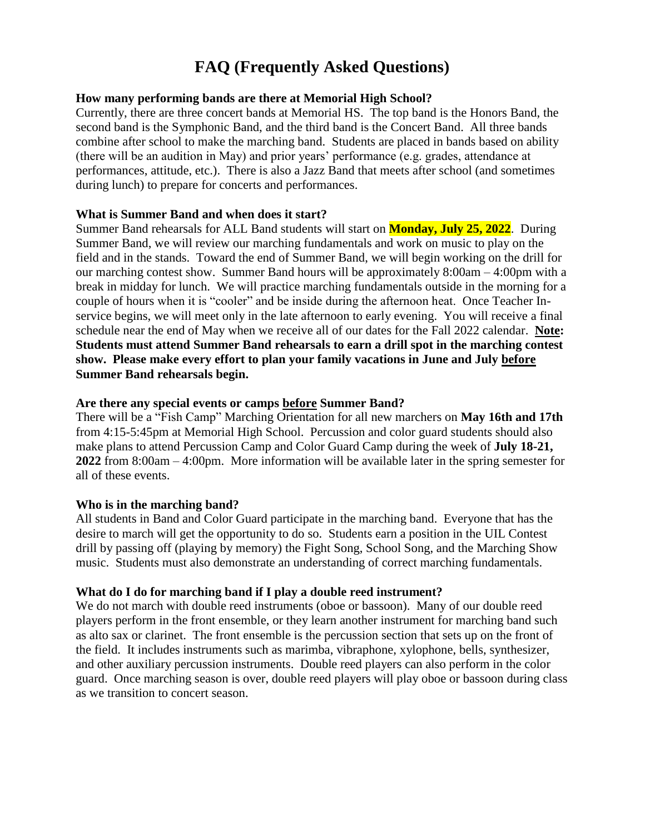## **FAQ (Frequently Asked Questions)**

#### **How many performing bands are there at Memorial High School?**

Currently, there are three concert bands at Memorial HS. The top band is the Honors Band, the second band is the Symphonic Band, and the third band is the Concert Band. All three bands combine after school to make the marching band. Students are placed in bands based on ability (there will be an audition in May) and prior years' performance (e.g. grades, attendance at performances, attitude, etc.). There is also a Jazz Band that meets after school (and sometimes during lunch) to prepare for concerts and performances.

#### **What is Summer Band and when does it start?**

Summer Band rehearsals for ALL Band students will start on **Monday, July 25, 2022**. During Summer Band, we will review our marching fundamentals and work on music to play on the field and in the stands. Toward the end of Summer Band, we will begin working on the drill for our marching contest show. Summer Band hours will be approximately 8:00am – 4:00pm with a break in midday for lunch. We will practice marching fundamentals outside in the morning for a couple of hours when it is "cooler" and be inside during the afternoon heat. Once Teacher Inservice begins, we will meet only in the late afternoon to early evening. You will receive a final schedule near the end of May when we receive all of our dates for the Fall 2022 calendar. **Note: Students must attend Summer Band rehearsals to earn a drill spot in the marching contest show. Please make every effort to plan your family vacations in June and July before Summer Band rehearsals begin.**

#### **Are there any special events or camps before Summer Band?**

There will be a "Fish Camp" Marching Orientation for all new marchers on **May 16th and 17th** from 4:15-5:45pm at Memorial High School. Percussion and color guard students should also make plans to attend Percussion Camp and Color Guard Camp during the week of **July 18-21, 2022** from 8:00am – 4:00pm. More information will be available later in the spring semester for all of these events.

#### **Who is in the marching band?**

All students in Band and Color Guard participate in the marching band. Everyone that has the desire to march will get the opportunity to do so. Students earn a position in the UIL Contest drill by passing off (playing by memory) the Fight Song, School Song, and the Marching Show music. Students must also demonstrate an understanding of correct marching fundamentals.

#### **What do I do for marching band if I play a double reed instrument?**

We do not march with double reed instruments (oboe or bassoon). Many of our double reed players perform in the front ensemble, or they learn another instrument for marching band such as alto sax or clarinet. The front ensemble is the percussion section that sets up on the front of the field. It includes instruments such as marimba, vibraphone, xylophone, bells, synthesizer, and other auxiliary percussion instruments. Double reed players can also perform in the color guard. Once marching season is over, double reed players will play oboe or bassoon during class as we transition to concert season.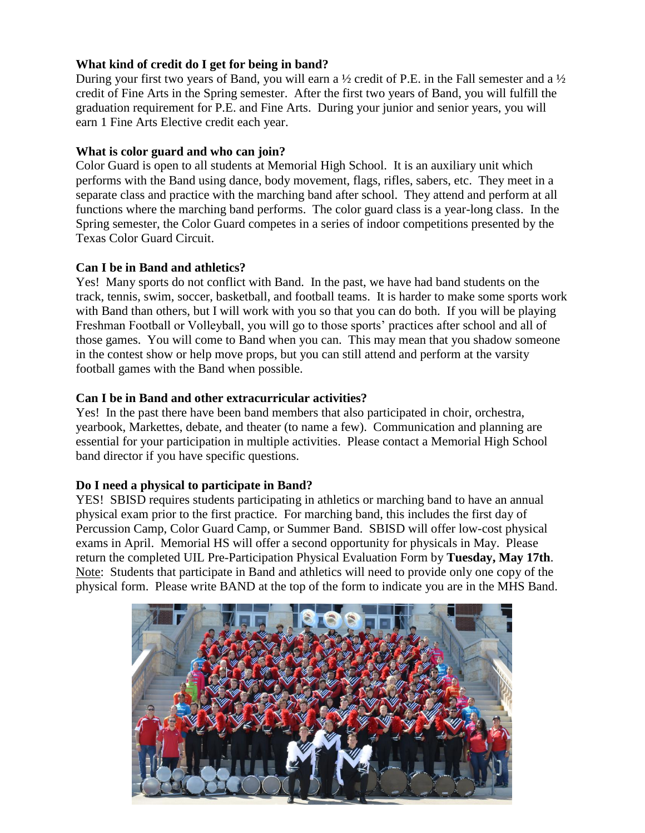#### **What kind of credit do I get for being in band?**

During your first two years of Band, you will earn a ½ credit of P.E. in the Fall semester and a ½ credit of Fine Arts in the Spring semester. After the first two years of Band, you will fulfill the graduation requirement for P.E. and Fine Arts. During your junior and senior years, you will earn 1 Fine Arts Elective credit each year.

#### **What is color guard and who can join?**

Color Guard is open to all students at Memorial High School. It is an auxiliary unit which performs with the Band using dance, body movement, flags, rifles, sabers, etc. They meet in a separate class and practice with the marching band after school. They attend and perform at all functions where the marching band performs. The color guard class is a year-long class. In the Spring semester, the Color Guard competes in a series of indoor competitions presented by the Texas Color Guard Circuit.

#### **Can I be in Band and athletics?**

Yes! Many sports do not conflict with Band. In the past, we have had band students on the track, tennis, swim, soccer, basketball, and football teams. It is harder to make some sports work with Band than others, but I will work with you so that you can do both. If you will be playing Freshman Football or Volleyball, you will go to those sports' practices after school and all of those games. You will come to Band when you can. This may mean that you shadow someone in the contest show or help move props, but you can still attend and perform at the varsity football games with the Band when possible.

#### **Can I be in Band and other extracurricular activities?**

Yes! In the past there have been band members that also participated in choir, orchestra, yearbook, Markettes, debate, and theater (to name a few). Communication and planning are essential for your participation in multiple activities. Please contact a Memorial High School band director if you have specific questions.

#### **Do I need a physical to participate in Band?**

YES! SBISD requires students participating in athletics or marching band to have an annual physical exam prior to the first practice. For marching band, this includes the first day of Percussion Camp, Color Guard Camp, or Summer Band. SBISD will offer low-cost physical exams in April. Memorial HS will offer a second opportunity for physicals in May. Please return the completed UIL Pre-Participation Physical Evaluation Form by **Tuesday, May 17th**. Note: Students that participate in Band and athletics will need to provide only one copy of the physical form. Please write BAND at the top of the form to indicate you are in the MHS Band.